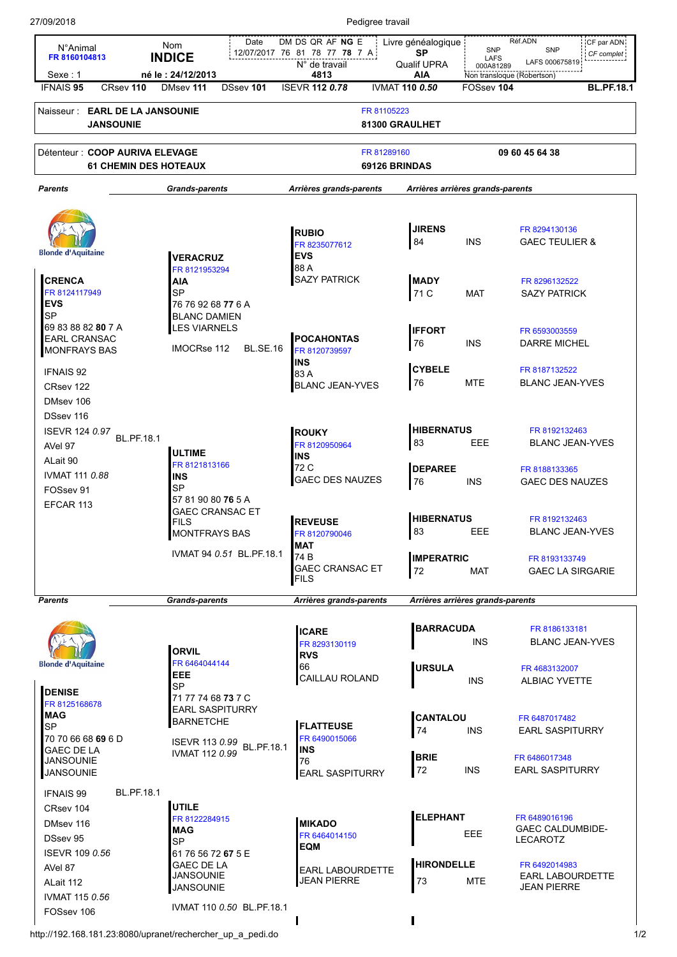| 27/09/2018                                                                                           | Pedigree travail                                                                  |                                                                             |                                                |                                          |                                                                       |  |  |
|------------------------------------------------------------------------------------------------------|-----------------------------------------------------------------------------------|-----------------------------------------------------------------------------|------------------------------------------------|------------------------------------------|-----------------------------------------------------------------------|--|--|
| <b>N°Animal</b><br>FR 8160104813                                                                     | Date<br>Nom<br><b>INDICE</b>                                                      | DM DS QR AF NG E<br>12/07/2017 76 81 78 77 78 7 A<br>$N^{\circ}$ de travail | Livre généalogique<br>SP<br><b>Qualif UPRA</b> | <b>SNP</b><br>LAFS<br>000A81289          | Réf.ADN<br>CF par ADN<br><b>SNP</b><br>$CF$ complet<br>LAFS 000675819 |  |  |
| Sexe:1<br><b>IFNAIS 95</b><br>CRsev 110                                                              | né le : 24/12/2013<br>DMsev 111<br>DSsev 101                                      | 4813<br><b>ISEVR 112 0.78</b>                                               | AIA<br><b>IVMAT 110 0.50</b>                   | Non transloque (Robertson)<br>FOSsev 104 | <b>BL.PF.18.1</b>                                                     |  |  |
| Naisseur: EARL DE LA JANSOUNIE<br><b>JANSOUNIE</b>                                                   |                                                                                   | FR 81105223                                                                 | 81300 GRAULHET                                 |                                          |                                                                       |  |  |
| Détenteur : COOP AURIVA ELEVAGE<br><b>61 CHEMIN DES HOTEAUX</b>                                      |                                                                                   | FR 81289160<br>69126 BRINDAS                                                |                                                | 09 60 45 64 38                           |                                                                       |  |  |
| <b>Parents</b>                                                                                       | <b>Grands-parents</b>                                                             | Arrières grands-parents                                                     |                                                | Arrières arrières grands-parents         |                                                                       |  |  |
| <b>Blonde d'Aquitaine</b>                                                                            | <b>VERACRUZ</b>                                                                   | <b>RUBIO</b><br>FR 8235077612<br><b>EVS</b><br>88 A                         | <b>JIRENS</b><br>84                            | <b>INS</b>                               | FR 8294130136<br><b>GAEC TEULIER &amp;</b>                            |  |  |
| <b>CRENCA</b><br>FR 8124117949<br><b>EVS</b><br>SP                                                   | FR 8121953294<br>AIA<br><b>SP</b><br>76 76 92 68 77 6 A<br><b>BLANC DAMIEN</b>    | <b>SAZY PATRICK</b>                                                         | <b>MADY</b><br>71 C                            | <b>MAT</b>                               | FR 8296132522<br><b>SAZY PATRICK</b>                                  |  |  |
| 69 83 88 82 <b>80</b> 7 A<br>EARL CRANSAC<br><b>MONFRAYS BAS</b>                                     | <b>LES VIARNELS</b><br><b>IMOCRse 112</b><br><b>BL.SE.16</b>                      | <b>POCAHONTAS</b><br>FR 8120739597<br><b>INS</b>                            | <b>IFFORT</b><br>76                            | <b>INS</b>                               | FR 6593003559<br><b>DARRE MICHEL</b>                                  |  |  |
| <b>IFNAIS 92</b><br>CRsev 122<br>DMsey 106<br>DSsev 116                                              |                                                                                   | 83A<br><b>BLANC JEAN-YVES</b>                                               | <b>CYBELE</b><br>76                            | <b>MTE</b>                               | FR 8187132522<br><b>BLANC JEAN-YVES</b>                               |  |  |
| <b>ISEVR 124 0.97</b><br><b>BL.PF.18.1</b><br>AVel 97<br>ALait 90                                    | <b>ULTIME</b><br>FR 8121813166                                                    | <b>ROUKY</b><br>FR 8120950964<br><b>INS</b>                                 | <b>HIBERNATUS</b><br>83                        | EEE                                      | FR 8192132463<br><b>BLANC JEAN-YVES</b>                               |  |  |
| <b>IVMAT 111 0.88</b><br>FOSsev 91<br>EFCAR 113                                                      | <b>INS</b><br><b>SP</b><br>57 81 90 80 76 5 A<br><b>GAEC CRANSAC ET</b>           | 72 C<br><b>GAEC DES NAUZES</b>                                              | <b>DEPAREE</b><br>76                           | <b>INS</b>                               | FR 8188133365<br><b>GAEC DES NAUZES</b>                               |  |  |
|                                                                                                      | FII S<br><b>MONTFRAYS BAS</b>                                                     | <b>REVEUSE</b><br>FR 8120790046<br><b>MAT</b>                               | <b>HIBERNATUS</b><br>83                        | EEE                                      | FR 8192132463<br><b>BLANC JEAN-YVES</b>                               |  |  |
|                                                                                                      | IVMAT 94 0.51 BL.PF.18.1                                                          | 74 B<br><b>GAEC CRANSAC ET</b><br><b>FILS</b>                               | <b>IMPERATRIC</b><br>72                        | <b>MAT</b>                               | FR 8193133749<br><b>GAEC LA SIRGARIE</b>                              |  |  |
| Parents                                                                                              | <b>Grands-parents</b>                                                             | Arrières grands-parents                                                     | Arrières arrières grands-parents               |                                          |                                                                       |  |  |
|                                                                                                      | <b>ORVIL</b>                                                                      | <b>ICARE</b><br>FR 8293130119<br><b>RVS</b>                                 | <b>BARRACUDA</b>                               | <b>INS</b>                               | FR 8186133181<br><b>BLANC JEAN-YVES</b>                               |  |  |
| <b>Blonde d'Aquitaine</b><br><b>DENISE</b><br>FR 8125168678                                          | FR 6464044144<br>EEE<br><b>SP</b><br>71 77 74 68 73 7 C                           | 66<br>CAILLAU ROLAND                                                        | <b>URSULA</b>                                  | <b>INS</b>                               | FR 4683132007<br>ALBIAC YVETTE                                        |  |  |
| MAG<br><b>SP</b><br>70 70 66 68 69 6 D<br><b>GAEC DE LA</b>                                          | <b>EARL SASPITURRY</b><br><b>BARNETCHE</b><br>ISEVR 113 0.99<br><b>BL.PF.18.1</b> | <b>FLATTEUSE</b><br>FR 6490015066<br>INS                                    | <b>CANTALOU</b><br>74                          | <b>INS</b>                               | FR 6487017482<br><b>EARL SASPITURRY</b>                               |  |  |
| <b>JANSOUNIE</b><br><b>JANSOUNIE</b>                                                                 | <b>IVMAT 112 0.99</b>                                                             | 76<br><b>EARL SASPITURRY</b>                                                | <b>BRIE</b><br>72                              | <b>INS</b>                               | FR 6486017348<br><b>EARL SASPITURRY</b>                               |  |  |
| <b>BL.PF.18.1</b><br><b>IFNAIS 99</b><br>CRsev 104<br>DMsey 116<br>DSsev 95<br><b>ISEVR 109 0.56</b> | <b>UTILE</b><br>FR 8122284915<br>MAG<br><b>SP</b><br>61 76 56 72 <b>67</b> 5 E    | <b>MIKADO</b><br>FR 6464014150<br>EQM                                       | <b>ELEPHANT</b>                                | EEE                                      | FR 6489016196<br><b>GAEC CALDUMBIDE-</b><br>LECAROTZ                  |  |  |
| AVel 87<br>ALait 112<br><b>IVMAT 115 0.56</b>                                                        | <b>GAEC DE LA</b><br>JANSOUNIE<br><b>JANSOUNIE</b>                                | <b>EARL LABOURDETTE</b><br>JEAN PIERRE                                      | <b>HIRONDELLE</b><br>73                        | MTE                                      | FR 6492014983<br><b>EARL LABOURDETTE</b><br><b>JEAN PIERRE</b>        |  |  |
| FOSsev 106                                                                                           | IVMAT 110 0.50 BL.PF.18.1                                                         |                                                                             |                                                |                                          |                                                                       |  |  |

http://192.168.181.23:8080/upranet/rechercher\_up\_a\_pedi.do